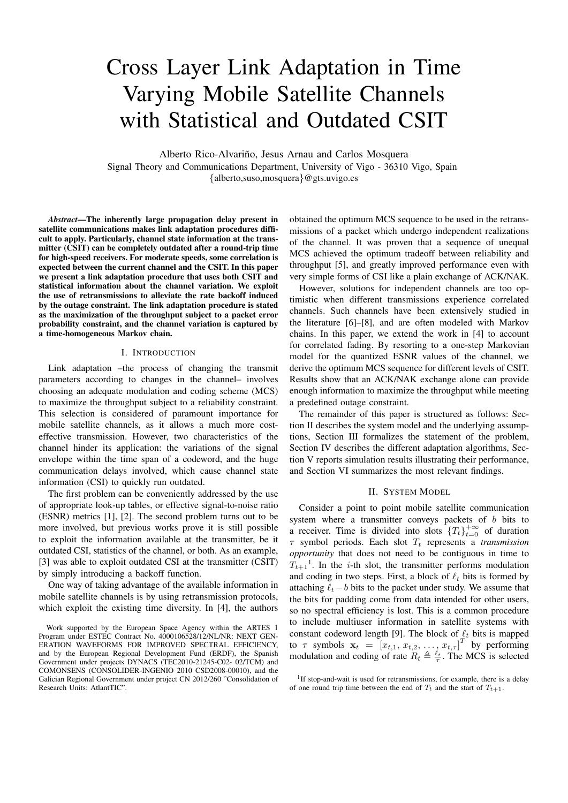# Cross Layer Link Adaptation in Time Varying Mobile Satellite Channels with Statistical and Outdated CSIT

Alberto Rico-Alvariño, Jesus Arnau and Carlos Mosquera Signal Theory and Communications Department, University of Vigo - 36310 Vigo, Spain *{*alberto,suso,mosquera*}*@gts.uvigo.es

*Abstract*—The inherently large propagation delay present in satellite communications makes link adaptation procedures difficult to apply. Particularly, channel state information at the transmitter (CSIT) can be completely outdated after a round-trip time for high-speed receivers. For moderate speeds, some correlation is expected between the current channel and the CSIT. In this paper we present a link adaptation procedure that uses both CSIT and statistical information about the channel variation. We exploit the use of retransmissions to alleviate the rate backoff induced by the outage constraint. The link adaptation procedure is stated as the maximization of the throughput subject to a packet error probability constraint, and the channel variation is captured by a time-homogeneous Markov chain.

## I. INTRODUCTION

Link adaptation –the process of changing the transmit parameters according to changes in the channel– involves choosing an adequate modulation and coding scheme (MCS) to maximize the throughput subject to a reliability constraint. This selection is considered of paramount importance for mobile satellite channels, as it allows a much more costeffective transmission. However, two characteristics of the channel hinder its application: the variations of the signal envelope within the time span of a codeword, and the huge communication delays involved, which cause channel state information (CSI) to quickly run outdated.

The first problem can be conveniently addressed by the use of appropriate look-up tables, or effective signal-to-noise ratio (ESNR) metrics [1], [2]. The second problem turns out to be more involved, but previous works prove it is still possible to exploit the information available at the transmitter, be it outdated CSI, statistics of the channel, or both. As an example, [3] was able to exploit outdated CSI at the transmitter (CSIT) by simply introducing a backoff function.

One way of taking advantage of the available information in mobile satellite channels is by using retransmission protocols, which exploit the existing time diversity. In [4], the authors obtained the optimum MCS sequence to be used in the retransmissions of a packet which undergo independent realizations of the channel. It was proven that a sequence of unequal MCS achieved the optimum tradeoff between reliability and throughput [5], and greatly improved performance even with very simple forms of CSI like a plain exchange of ACK/NAK.

However, solutions for independent channels are too optimistic when different transmissions experience correlated channels. Such channels have been extensively studied in the literature [6]–[8], and are often modeled with Markov chains. In this paper, we extend the work in [4] to account for correlated fading. By resorting to a one-step Markovian model for the quantized ESNR values of the channel, we derive the optimum MCS sequence for different levels of CSIT. Results show that an ACK/NAK exchange alone can provide enough information to maximize the throughput while meeting a predefined outage constraint.

The remainder of this paper is structured as follows: Section II describes the system model and the underlying assumptions, Section III formalizes the statement of the problem, Section IV describes the different adaptation algorithms, Section V reports simulation results illustrating their performance, and Section VI summarizes the most relevant findings.

#### II. SYSTEM MODEL

Consider a point to point mobile satellite communication system where a transmitter conveys packets of *b* bits to a receiver. Time is divided into slots  $\{T_t\}_{t=0}^{+\infty}$  of duration *τ* symbol periods. Each slot *T<sup>t</sup>* represents a *transmission opportunity* that does not need to be contiguous in time to  $T_{t+1}$ <sup>1</sup>. In the *i*-th slot, the transmitter performs modulation and coding in two steps. First, a block of  $\ell_t$  bits is formed by attaching  $\ell_t - b$  bits to the packet under study. We assume that the bits for padding come from data intended for other users, so no spectral efficiency is lost. This is a common procedure to include multiuser information in satellite systems with constant codeword length [9]. The block of *ℓ<sup>t</sup>* bits is mapped to  $\tau$  symbols  $\mathbf{x}_t = \begin{bmatrix} x_{t,1}, x_{t,2}, \dots, x_{t,\tau} \end{bmatrix}^T$  by performing modulation and coding of rate  $R_t \triangleq \frac{\ell_t}{\tau}$ . The MCS is selected

Work supported by the European Space Agency within the ARTES 1 Program under ESTEC Contract No. 4000106528/12/NL/NR: NEXT GEN-ERATION WAVEFORMS FOR IMPROVED SPECTRAL EFFICIENCY, and by the European Regional Development Fund (ERDF), the Spanish Government under projects DYNACS (TEC2010-21245-C02- 02/TCM) and COMONSENS (CONSOLIDER-INGENIO 2010 CSD2008-00010), and the Galician Regional Government under project CN 2012/260 "Consolidation of Research Units: AtlantTIC".

<sup>&</sup>lt;sup>1</sup>If stop-and-wait is used for retransmissions, for example, there is a delay of one round trip time between the end of  $T_t$  and the start of  $T_{t+1}$ .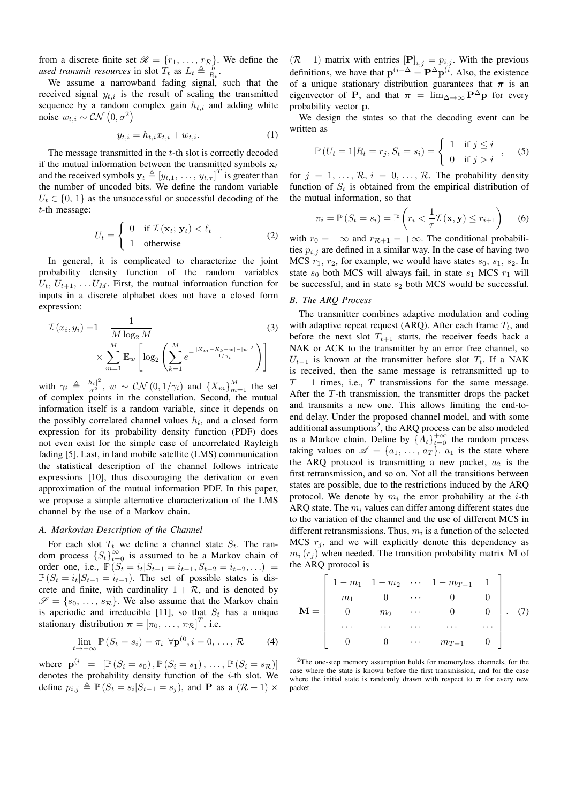from a discrete finite set  $\mathcal{R} = \{r_1, \ldots, r_{\mathcal{R}}\}$ . We define the *used transmit resources* in slot  $T_t$  as  $L_t \triangleq \frac{b}{R_t}$ .

We assume a narrowband fading signal, such that the received signal  $y_{t,i}$  is the result of scaling the transmitted sequence by a random complex gain  $h_{t,i}$  and adding white noise  $w_{t,i} \sim \mathcal{CN}(0, \sigma^2)$ 

$$
y_{t,i} = h_{t,i} x_{t,i} + w_{t,i}.
$$
 (1)

The message transmitted in the *t*-th slot is correctly decoded if the mutual information between the transmitted symbols  $x_t$ and the received symbols  $\mathbf{y}_t \triangleq [y_{t,1}, \ldots, y_{t,\tau}]^T$  is greater than the number of uncoded bits. We define the random variable  $U_t \in \{0, 1\}$  as the unsuccessful or successful decoding of the *t*-th message:

$$
U_t = \begin{cases} 0 & \text{if } \mathcal{I}(\mathbf{x}_t; \mathbf{y}_t) < \ell_t \\ 1 & \text{otherwise} \end{cases} . \tag{2}
$$

In general, it is complicated to characterize the joint probability density function of the random variables  $U_t$ ,  $U_{t+1}$ , ...  $U_M$ . First, the mutual information function for inputs in a discrete alphabet does not have a closed form expression:

$$
\mathcal{I}(x_i, y_i) = 1 - \frac{1}{M \log_2 M} \tag{3}
$$
\n
$$
\times \sum_{m=1}^{M} \mathbb{E}_w \left[ \log_2 \left( \sum_{k=1}^{M} e^{-\frac{|X_m - X_k + w| - |w|^2}{1/\gamma_i}} \right) \right]
$$

with  $\gamma_i \triangleq \frac{|h_i|^2}{\sigma^2}$ ,  $w \sim \mathcal{CN}(0, 1/\gamma_i)$  and  $\{X_m\}_{m=1}^M$  the set of complex points in the constellation. Second, the mutual information itself is a random variable, since it depends on the possibly correlated channel values *h<sup>i</sup>* , and a closed form expression for its probability density function (PDF) does not even exist for the simple case of uncorrelated Rayleigh fading [5]. Last, in land mobile satellite (LMS) communication the statistical description of the channel follows intricate expressions [10], thus discouraging the derivation or even approximation of the mutual information PDF. In this paper, we propose a simple alternative characterization of the LMS channel by the use of a Markov chain.

## *A. Markovian Description of the Channel*

For each slot  $T_t$  we define a channel state  $S_t$ . The random process  $\{S_t\}_{t=0}^{\infty}$  is assumed to be a Markov chain of order one, i.e.,  $\mathbb{P}(S_t = i_t | S_{t-1} = i_{t-1}, S_{t-2} = i_{t-2}, \dots)$  $\mathbb{P}(S_t = i_t | S_{t-1} = i_{t-1})$ . The set of possible states is discrete and finite, with cardinality  $1 + \mathcal{R}$ , and is denoted by  $\mathscr{S} = \{s_0, \ldots, s_{\mathcal{R}}\}$ . We also assume that the Markov chain is aperiodic and irreducible [11], so that  $S_t$  has a unique stationary distribution  $\boldsymbol{\pi} = [\pi_0, \dots, \pi_{\mathcal{R}}]^T$ , i.e.

$$
\lim_{t \to +\infty} \mathbb{P}\left(S_t = s_i\right) = \pi_i \ \forall \mathbf{p}^{(0)}, i = 0, \dots, \mathcal{R} \tag{4}
$$

where  $\mathbf{p}^{(i)} = [\mathbb{P}(S_i = s_0), \mathbb{P}(S_i = s_1), \dots, \mathbb{P}(S_i = s_{\mathcal{R}})]$ denotes the probability density function of the *i*-th slot. We define  $p_{i,j} \triangleq \mathbb{P}(S_t = s_i | S_{t-1} = s_j)$ , and **P** as a  $(\mathcal{R} + 1) \times \mathbb{P}(S_t = s_j)$ 

 $(\mathcal{R} + 1)$  matrix with entries  $[\mathbf{P}]_{i,j} = p_{i,j}$ . With the previous definitions, we have that  $\mathbf{p}^{(i+\Delta)} = \mathbf{P}^{\Delta} \mathbf{p}^{(i)}$ . Also, the existence of a unique stationary distribution guarantees that  $\pi$  is an eigenvector of **P**, and that  $\pi = \lim_{\Delta \to \infty} P^{\Delta} p$  for every probability vector **p**.

We design the states so that the decoding event can be written as

$$
\mathbb{P}\left(U_t=1\middle|R_t=r_j,S_t=s_i\right)=\left\{\begin{array}{ll} 1 & \text{if } j \leq i \\ 0 & \text{if } j > i \end{array}\right.,\tag{5}
$$

for  $j = 1, \ldots, \mathcal{R}, i = 0, \ldots, \mathcal{R}$ . The probability density function of  $S_t$  is obtained from the empirical distribution of the mutual information, so that

$$
\pi_i = \mathbb{P}\left(S_t = s_i\right) = \mathbb{P}\left(r_i < \frac{1}{\tau}\mathcal{I}\left(\mathbf{x}, \mathbf{y}\right) \le r_{i+1}\right) \tag{6}
$$

with  $r_0 = -\infty$  and  $r_{\mathcal{R}+1} = +\infty$ . The conditional probabilities  $p_{i,j}$  are defined in a similar way. In the case of having two MCS  $r_1$ ,  $r_2$ , for example, we would have states  $s_0$ ,  $s_1$ ,  $s_2$ . In state  $s_0$  both MCS will always fail, in state  $s_1$  MCS  $r_1$  will be successful, and in state  $s_2$  both MCS would be successful.

## *B. The ARQ Process*

The transmitter combines adaptive modulation and coding with adaptive repeat request (ARQ). After each frame  $T_t$ , and before the next slot  $T_{t+1}$  starts, the receiver feeds back a NAK or ACK to the transmitter by an error free channel, so  $U_{t-1}$  is known at the transmitter before slot  $T_t$ . If a NAK is received, then the same message is retransmitted up to *T* − 1 times, i.e., *T* transmissions for the same message. After the *T*-th transmission, the transmitter drops the packet and transmits a new one. This allows limiting the end-toend delay. Under the proposed channel model, and with some additional assumptions<sup>2</sup>, the ARQ process can be also modeled as a Markov chain. Define by  $\{A_t\}_{t=0}^{+\infty}$  the random process taking values on  $\mathscr{A} = \{a_1, \ldots, a_T\}$ .  $a_1$  is the state where the ARQ protocol is transmitting a new packet,  $a_2$  is the first retransmission, and so on. Not all the transitions between states are possible, due to the restrictions induced by the ARQ protocol. We denote by  $m_i$  the error probability at the  $i$ -th ARQ state. The *m<sup>i</sup>* values can differ among different states due to the variation of the channel and the use of different MCS in different retransmissions. Thus, *m<sup>i</sup>* is a function of the selected MCS  $r_i$ , and we will explicitly denote this dependency as  $m_i(r_i)$  when needed. The transition probability matrix **M** of the ARQ protocol is

$$
\mathbf{M} = \begin{bmatrix} 1 - m_1 & 1 - m_2 & \cdots & 1 - m_{T-1} & 1 \\ m_1 & 0 & \cdots & 0 & 0 \\ 0 & m_2 & \cdots & 0 & 0 \\ \cdots & \cdots & \cdots & \cdots & \cdots \\ 0 & 0 & \cdots & m_{T-1} & 0 \end{bmatrix} . (7)
$$

<sup>2</sup>The one-step memory assumption holds for memoryless channels, for the case where the state is known before the first transmission, and for the case where the initial state is randomly drawn with respect to  $\pi$  for every new packet.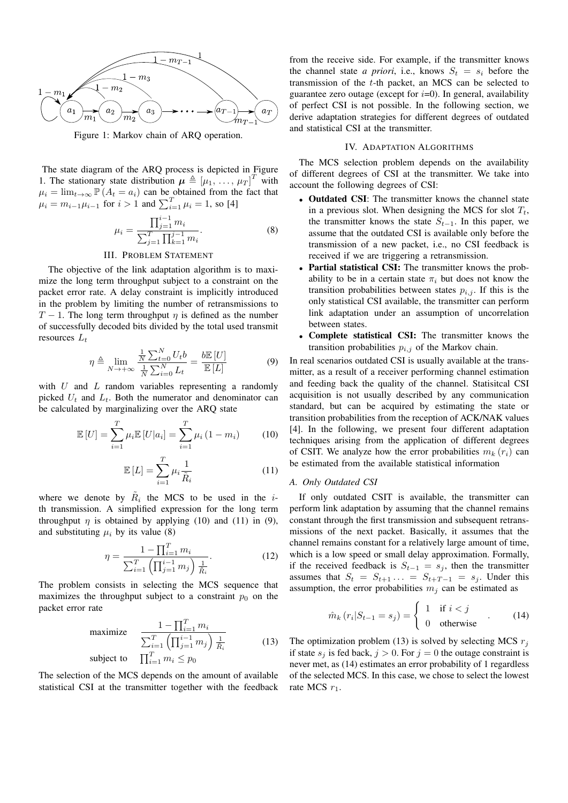

Figure 1: Markov chain of ARQ operation.

The state diagram of the ARQ process is depicted in Figure 1. The stationary state distribution  $\mu \triangleq [\mu_1, \ldots, \mu_T]^T$  with  $\mu_i = \lim_{t \to \infty} \mathbb{P}(A_t = a_i)$  can be obtained from the fact that  $\mu_i = m_{i-1}\mu_{i-1}$  for  $i > 1$  and  $\sum_{i=1}^T \mu_i = 1$ , so [4]

$$
\mu_i = \frac{\prod_{j=1}^{i-1} m_i}{\sum_{j=1}^T \prod_{k=1}^{j-1} m_i}.
$$
\n(8)

# III. PROBLEM STATEMENT

The objective of the link adaptation algorithm is to maximize the long term throughput subject to a constraint on the packet error rate. A delay constraint is implicitly introduced in the problem by limiting the number of retransmissions to *T* − 1. The long term throughput  $\eta$  is defined as the number of successfully decoded bits divided by the total used transmit resources *L<sup>t</sup>*

$$
\eta \triangleq \lim_{N \to +\infty} \frac{\frac{1}{N} \sum_{t=0}^{N} U_t b}{\frac{1}{N} \sum_{i=0}^{N} L_t} = \frac{b \mathbb{E}[U]}{\mathbb{E}[L]}
$$
(9)

with *U* and *L* random variables representing a randomly picked  $U_t$  and  $L_t$ . Both the numerator and denominator can be calculated by marginalizing over the ARQ state

$$
\mathbb{E}[U] = \sum_{i=1}^{T} \mu_i \mathbb{E}[U|a_i] = \sum_{i=1}^{T} \mu_i (1 - m_i)
$$
 (10)

$$
\mathbb{E}\left[L\right] = \sum_{i=1}^{T} \mu_i \frac{1}{\tilde{R}_i} \tag{11}
$$

where we denote by  $\tilde{R}_i$  the MCS to be used in the *i*th transmission. A simplified expression for the long term throughput  $\eta$  is obtained by applying (10) and (11) in (9), and substituting  $\mu_i$  by its value (8)

$$
\eta = \frac{1 - \prod_{i=1}^{T} m_i}{\sum_{i=1}^{T} \left( \prod_{j=1}^{i-1} m_j \right) \frac{1}{\tilde{R}_i}}.
$$
(12)

The problem consists in selecting the MCS sequence that maximizes the throughput subject to a constraint  $p_0$  on the packet error rate

maximize 
$$
\frac{1 - \prod_{i=1}^{T} m_i}{\sum_{i=1}^{T} \left( \prod_{j=1}^{i-1} m_j \right) \frac{1}{\tilde{R}_i}}
$$
subject to 
$$
\prod_{i=1}^{T} m_i \leq p_0
$$
 (13)

The selection of the MCS depends on the amount of available statistical CSI at the transmitter together with the feedback

from the receive side. For example, if the transmitter knows the channel state *a priori*, i.e., knows  $S_t = s_i$  before the transmission of the *t*-th packet, an MCS can be selected to guarantee zero outage (except for *i*=0). In general, availability of perfect CSI is not possible. In the following section, we derive adaptation strategies for different degrees of outdated and statistical CSI at the transmitter.

### IV. ADAPTATION ALGORITHMS

The MCS selection problem depends on the availability of different degrees of CSI at the transmitter. We take into account the following degrees of CSI:

- *•* Outdated CSI: The transmitter knows the channel state in a previous slot. When designing the MCS for slot  $T_t$ , the transmitter knows the state  $S_{t-1}$ . In this paper, we assume that the outdated CSI is available only before the transmission of a new packet, i.e., no CSI feedback is received if we are triggering a retransmission.
- Partial statistical CSI: The transmitter knows the probability to be in a certain state  $\pi_i$  but does not know the transition probabilities between states  $p_{i,j}$ . If this is the only statistical CSI available, the transmitter can perform link adaptation under an assumption of uncorrelation between states.
- *•* Complete statistical CSI: The transmitter knows the transition probabilities  $p_{i,j}$  of the Markov chain.

In real scenarios outdated CSI is usually available at the transmitter, as a result of a receiver performing channel estimation and feeding back the quality of the channel. Statisitcal CSI acquisition is not usually described by any communication standard, but can be acquired by estimating the state or transition probabilities from the reception of ACK/NAK values [4]. In the following, we present four different adaptation techniques arising from the application of different degrees of CSIT. We analyze how the error probabilities  $m_k(r_i)$  can be estimated from the available statistical information

# *A. Only Outdated CSI*

If only outdated CSIT is available, the transmitter can perform link adaptation by assuming that the channel remains constant through the first transmission and subsequent retransmissions of the next packet. Basically, it assumes that the channel remains constant for a relatively large amount of time, which is a low speed or small delay approximation. Formally, if the received feedback is  $S_{t-1} = s_i$ , then the transmitter assumes that  $S_t = S_{t+1} \ldots = S_{t+T-1} = s_j$ . Under this assumption, the error probabilities  $m_j$  can be estimated as

$$
\hat{m}_k(r_i|S_{t-1} = s_j) = \begin{cases} 1 & \text{if } i < j \\ 0 & \text{otherwise} \end{cases} (14)
$$

The optimization problem (13) is solved by selecting MCS *r<sup>j</sup>* if state  $s_j$  is fed back,  $j > 0$ . For  $j = 0$  the outage constraint is never met, as (14) estimates an error probability of 1 regardless of the selected MCS. In this case, we chose to select the lowest rate MCS  $r_1$ .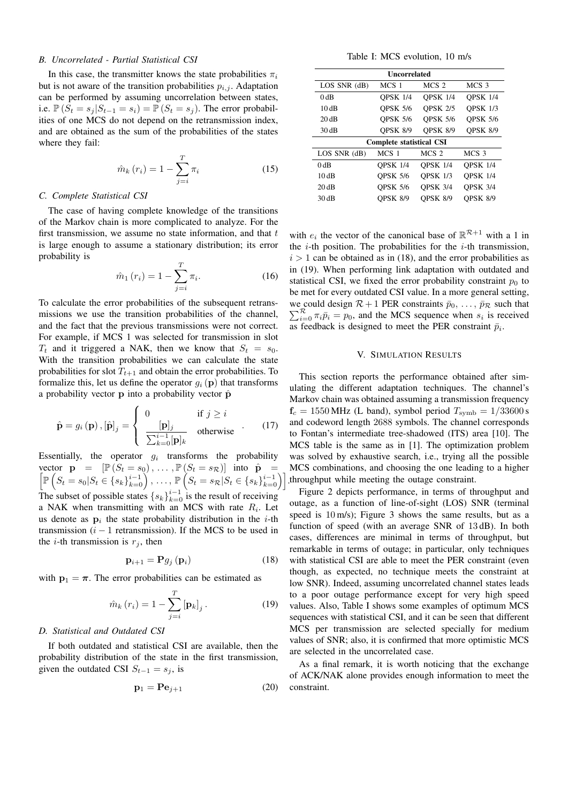## *B. Uncorrelated - Partial Statistical CSI*

In this case, the transmitter knows the state probabilities  $\pi_i$ but is not aware of the transition probabilities  $p_{i,j}$ . Adaptation can be performed by assuming uncorrelation between states, i.e.  $\mathbb{P}(S_t = s_i | S_{t-1} = s_i) = \mathbb{P}(S_t = s_i)$ . The error probabilities of one MCS do not depend on the retransmission index, and are obtained as the sum of the probabilities of the states where they fail:

$$
\hat{m}_k(r_i) = 1 - \sum_{j=i}^{T} \pi_i \tag{15}
$$

### *C. Complete Statistical CSI*

The case of having complete knowledge of the transitions of the Markov chain is more complicated to analyze. For the first transmission, we assume no state information, and that *t* is large enough to assume a stationary distribution; its error probability is

$$
\hat{m}_1(r_i) = 1 - \sum_{j=i}^{T} \pi_i.
$$
 (16)

To calculate the error probabilities of the subsequent retransmissions we use the transition probabilities of the channel, and the fact that the previous transmissions were not correct. For example, if MCS 1 was selected for transmission in slot  $T_t$  and it triggered a NAK, then we know that  $S_t = s_0$ . With the transition probabilities we can calculate the state probabilities for slot  $T_{t+1}$  and obtain the error probabilities. To formalize this, let us define the operator  $g_i(\mathbf{p})$  that transforms a probability vector **p** into a probability vector  $\hat{p}$ 

$$
\hat{\mathbf{p}} = g_i(\mathbf{p}), [\hat{\mathbf{p}}]_j = \begin{cases} 0 & \text{if } j \ge i \\ \frac{[\mathbf{p}]_j}{\sum_{k=0}^{i-1} [\mathbf{p}]_k} & \text{otherwise} \end{cases} (17)
$$

Essentially, the operator  $g_i$  transforms the probability vector vector  $\mathbf{p} = [\mathbb{P}(S_t = s_0), \dots, \mathbb{P}(S_t = s_R)]$  into  $\hat{\mathbf{p}} = [\mathbb{P}(S_{-s-1} \mid S_s = s_0, \dots, S_{-s-1}]$  $\mathbb{P}\left(S_t = s_0|S_t \in \{s_k\}_{k=0}^{i-1}\right), \ldots, \mathbb{P}\left(S_t = s_{\mathcal{R}}|S_t \in \{s_k\}_{k=0}^{i-1}\right)\right].$ The subset of possible states  ${s_k}_{k=0}^{i-1}$  is the result of receiving a NAK when transmitting with an MCS with rate *R<sup>i</sup>* . Let us denote as  $p_i$  the state probability distribution in the *i*-th transmission  $(i - 1$  retransmission). If the MCS to be used in the *i*-th transmission is  $r_j$ , then

$$
\mathbf{p}_{i+1} = \mathbf{P}g_j\left(\mathbf{p}_i\right) \tag{18}
$$

with  $\mathbf{p}_1 = \pi$ . The error probabilities can be estimated as

$$
\hat{m}_k(r_i) = 1 - \sum_{j=i}^T [\mathbf{p}_k]_j.
$$
\n(19)

## *D. Statistical and Outdated CSI*

If both outdated and statistical CSI are available, then the probability distribution of the state in the first transmission, given the outdated CSI  $S_{t-1} = s_j$ , is

$$
\mathbf{p}_1 = \mathbf{P} \mathbf{e}_{j+1} \tag{20}
$$

Table I: MCS evolution, 10 m/s

| <b>Uncorrelated</b>             |                 |                  |                 |
|---------------------------------|-----------------|------------------|-----------------|
| $LOS SNR$ ( $dB$ )              | MCS 1           | MCS <sub>2</sub> | MCS 3           |
| 0dB                             | <b>OPSK 1/4</b> | OPSK 1/4         | <b>OPSK 1/4</b> |
| 10dB                            | <b>OPSK 5/6</b> | <b>OPSK 2/5</b>  | <b>OPSK 1/3</b> |
| 20dB                            | <b>OPSK 5/6</b> | <b>OPSK 5/6</b>  | <b>OPSK 5/6</b> |
| 30dB                            | <b>OPSK 8/9</b> | <b>OPSK 8/9</b>  | <b>OPSK 8/9</b> |
| <b>Complete statistical CSI</b> |                 |                  |                 |
| $LOS SNR$ ( $dB$ )              | MCS 1           | MCS <sub>2</sub> | MCS 3           |
| 0 dB                            | <b>OPSK 1/4</b> | <b>OPSK 1/4</b>  | <b>OPSK 1/4</b> |
| 10dB                            | <b>OPSK 5/6</b> | OPSK 1/3         | <b>OPSK 1/4</b> |
| 20dB                            | <b>OPSK 5/6</b> | <b>OPSK 3/4</b>  | <b>OPSK 3/4</b> |
| 30dB                            | <b>OPSK 8/9</b> | <b>OPSK 8/9</b>  | <b>OPSK 8/9</b> |

with  $e_i$  the vector of the canonical base of  $\mathbb{R}^{R+1}$  with a 1 in the *i*-th position. The probabilities for the *i*-th transmission,  $i > 1$  can be obtained as in (18), and the error probabilities as in (19). When performing link adaptation with outdated and statistical CSI, we fixed the error probability constraint  $p_0$  to be met for every outdated CSI value. In a more general setting, we could design  $\mathcal{R}$  + 1 PER constraints  $\bar{p}_0, \ldots, \bar{p}_\mathcal{R}$  such that  $\sum_{i=0}^{R} \pi_i \bar{p}_i = p_0$ , and the MCS sequence when  $s_i$  is received as feedback is designed to meet the PER constraint  $\bar{p}_i$ .

#### V. SIMULATION RESULTS

This section reports the performance obtained after simulating the different adaptation techniques. The channel's Markov chain was obtained assuming a transmission frequency  $\mathbf{f}_c = 1550 \text{ MHz}$  (L band), symbol period  $T_{\text{symb}} = 1/33600 \text{ s}$ and codeword length 2688 symbols. The channel corresponds to Fontan's intermediate tree-shadowed (ITS) area [10]. The MCS table is the same as in [1]. The optimization problem was solved by exhaustive search, i.e., trying all the possible MCS combinations, and choosing the one leading to a higher throughput while meeting the outage constraint.

Figure 2 depicts performance, in terms of throughput and outage, as a function of line-of-sight (LOS) SNR (terminal speed is 10 m/s); Figure 3 shows the same results, but as a function of speed (with an average SNR of 13 dB). In both cases, differences are minimal in terms of throughput, but remarkable in terms of outage; in particular, only techniques with statistical CSI are able to meet the PER constraint (even though, as expected, no technique meets the constraint at low SNR). Indeed, assuming uncorrelated channel states leads to a poor outage performance except for very high speed values. Also, Table I shows some examples of optimum MCS sequences with statistical CSI, and it can be seen that different MCS per transmission are selected specially for medium values of SNR; also, it is confirmed that more optimistic MCS are selected in the uncorrelated case.

As a final remark, it is worth noticing that the exchange of ACK/NAK alone provides enough information to meet the constraint.